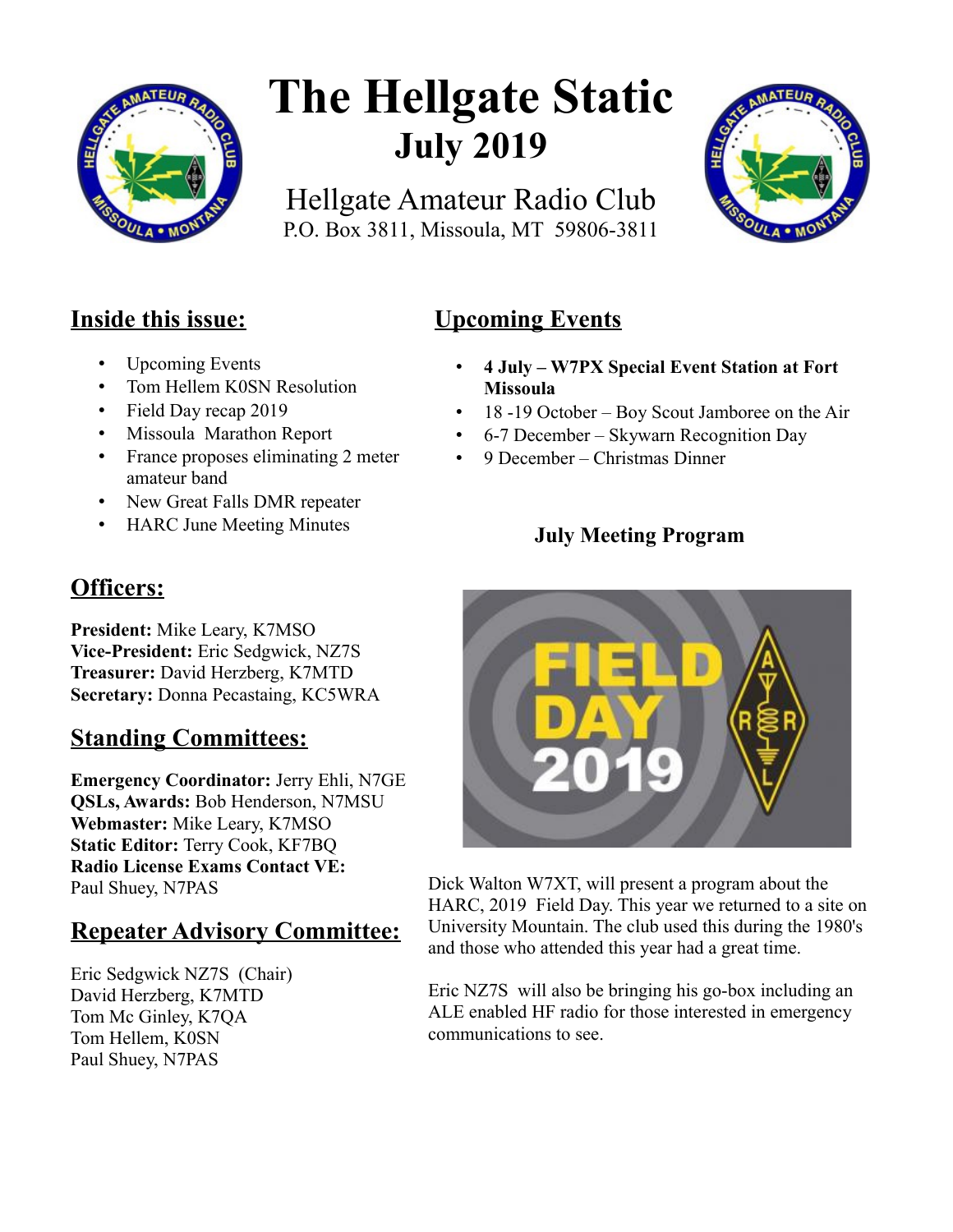

# **The Hellgate Static July 2019**

Hellgate Amateur Radio Club P.O. Box 3811, Missoula, MT 59806-3811



## **Inside this issue:**

- Upcoming Events
- Tom Hellem K0SN Resolution
- Field Day recap 2019
- Missoula Marathon Report
- France proposes eliminating 2 meter amateur band
- New Great Falls DMR repeater
- HARC June Meeting Minutes

# **Officers:**

**President:** Mike Leary, K7MSO **Vice-President:** Eric Sedgwick, NZ7S **Treasurer:** David Herzberg, K7MTD **Secretary:** Donna Pecastaing, KC5WRA

# **Standing Committees:**

**Emergency Coordinator:** Jerry Ehli, N7GE **QSLs, Awards:** Bob Henderson, N7MSU **Webmaster:** Mike Leary, K7MSO **Static Editor:** Terry Cook, KF7BQ **Radio License Exams Contact VE:** Paul Shuey, N7PAS

# **Repeater Advisory Committee:**

Eric Sedgwick NZ7S (Chair) David Herzberg, K7MTD Tom Mc Ginley, K7QA Tom Hellem, K0SN Paul Shuey, N7PAS

# **Upcoming Events**

- **4 July W7PX Special Event Station at Fort Missoula**
- 18 -19 October Boy Scout Jamboree on the Air
- 6-7 December Skywarn Recognition Day
- 9 December Christmas Dinner

## **July Meeting Program**



Dick Walton W7XT, will present a program about the HARC, 2019 Field Day. This year we returned to a site on University Mountain. The club used this during the 1980's and those who attended this year had a great time.

Eric NZ7S will also be bringing his go-box including an ALE enabled HF radio for those interested in emergency communications to see.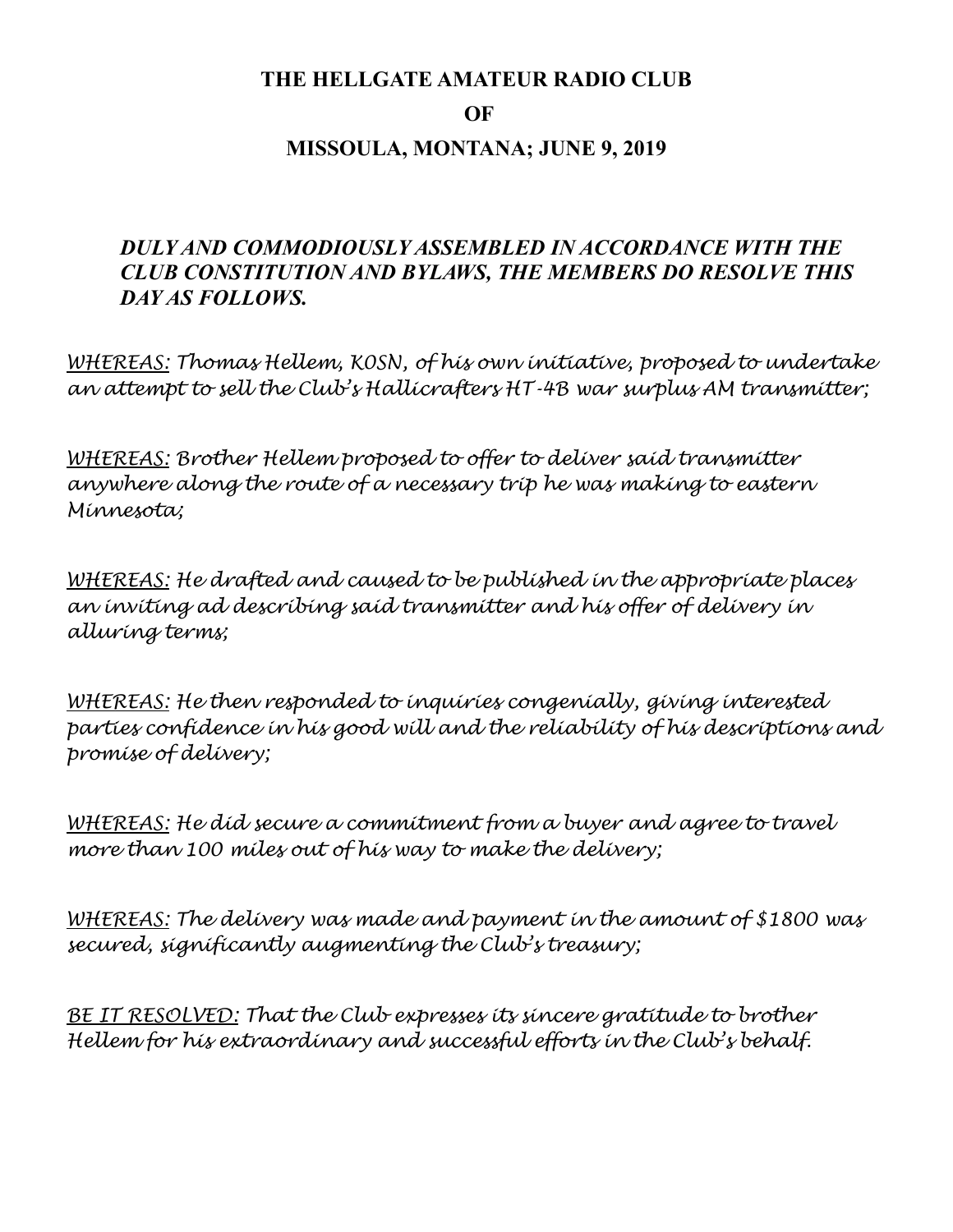#### **THE HELLGATE AMATEUR RADIO CLUB**

#### **OF**

## **MISSOULA, MONTANA; JUNE 9, 2019**

## *DULY AND COMMODIOUSLY ASSEMBLED IN ACCORDANCE WITH THE CLUB CONSTITUTION AND BYLAWS, THE MEMBERS DO RESOLVE THIS DAY AS FOLLOWS.*

*WHEREAS: Thomas Hellem, K0SN, of his own initiative, proposed to undertake an attempt to sell the Club's Hallicrafters HT-4B war surplus AM transmitter;* 

*WHEREAS: Brother Hellem proposed to offer to deliver said transmitter anywhere along the route of a necessary trip he was making to eastern Minnesota;* 

*WHEREAS: He drafted and caused to be published in the appropriate places an inviting ad describing said transmitter and his offer of delivery in alluring terms;* 

*WHEREAS: He then responded to inquiries congenially, giving interested parties confidence in his good will and the reliability of his descriptions and promise of delivery;* 

*WHEREAS: He did secure a commitment from a buyer and agree to travel more than 100 miles out of his way to make the delivery;* 

*WHEREAS: The delivery was made and payment in the amount of \$1800 was secured, significantly augmenting the Club's treasury;* 

*BE IT RESOLVED: That the Club expresses its sincere gratitude to brother Hellem for his extraordinary and successful efforts in the Club's behalf.*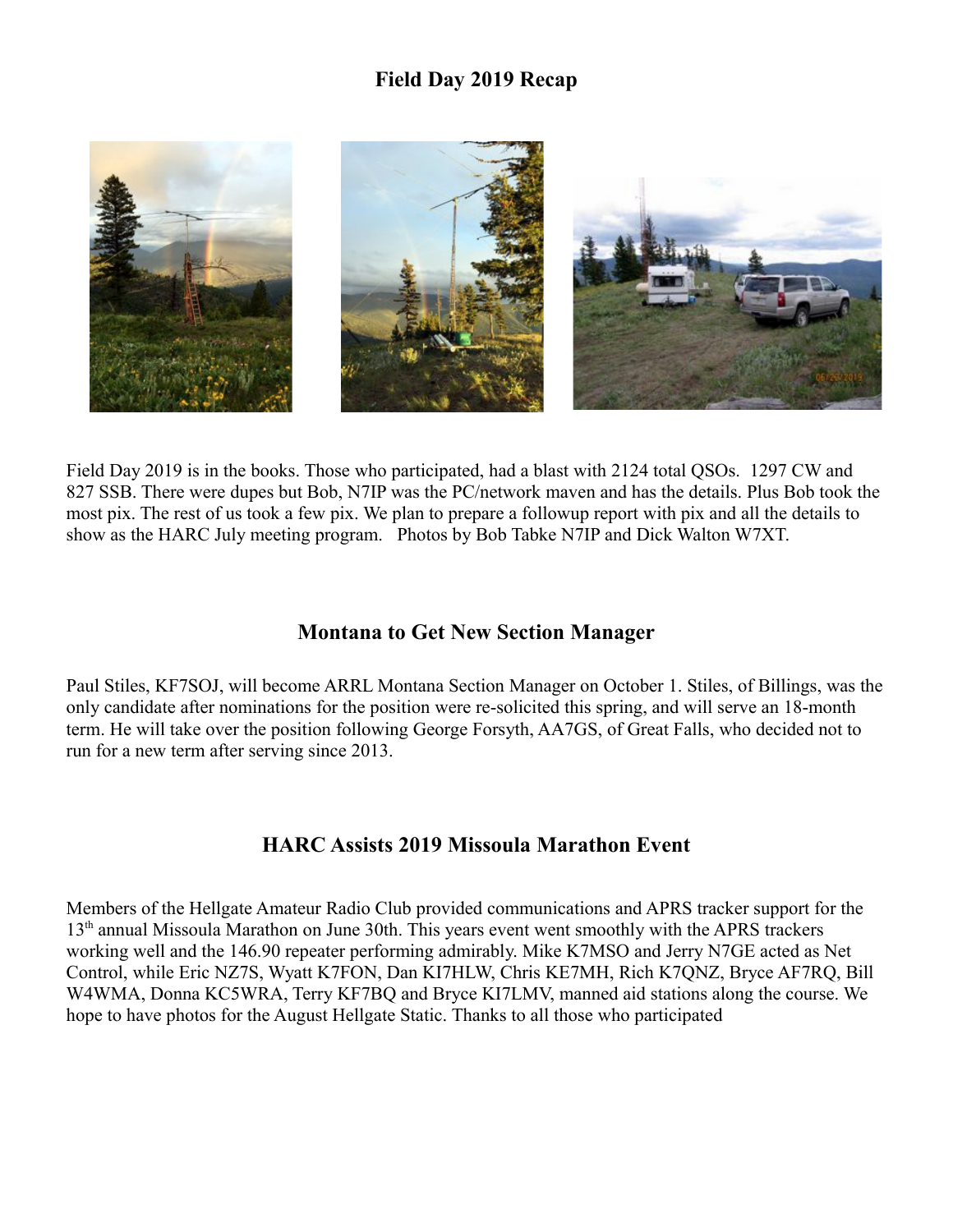#### **Field Day 2019 Recap**



Field Day 2019 is in the books. Those who participated, had a blast with 2124 total QSOs. 1297 CW and 827 SSB. There were dupes but Bob, N7IP was the PC/network maven and has the details. Plus Bob took the most pix. The rest of us took a few pix. We plan to prepare a followup report with pix and all the details to show as the HARC July meeting program. Photos by Bob Tabke N7IP and Dick Walton W7XT.

#### **Montana to Get New Section Manager**

Paul Stiles, KF7SOJ, will become ARRL Montana Section Manager on October 1. Stiles, of Billings, was the only candidate after nominations for the position were re-solicited this spring, and will serve an 18-month term. He will take over the position following George Forsyth, AA7GS, of Great Falls, who decided not to run for a new term after serving since 2013.

### **HARC Assists 2019 Missoula Marathon Event**

Members of the Hellgate Amateur Radio Club provided communications and APRS tracker support for the 13th annual Missoula Marathon on June 30th. This years event went smoothly with the APRS trackers working well and the 146.90 repeater performing admirably. Mike K7MSO and Jerry N7GE acted as Net Control, while Eric NZ7S, Wyatt K7FON, Dan KI7HLW, Chris KE7MH, Rich K7QNZ, Bryce AF7RQ, Bill W4WMA, Donna KC5WRA, Terry KF7BQ and Bryce KI7LMV, manned aid stations along the course. We hope to have photos for the August Hellgate Static. Thanks to all those who participated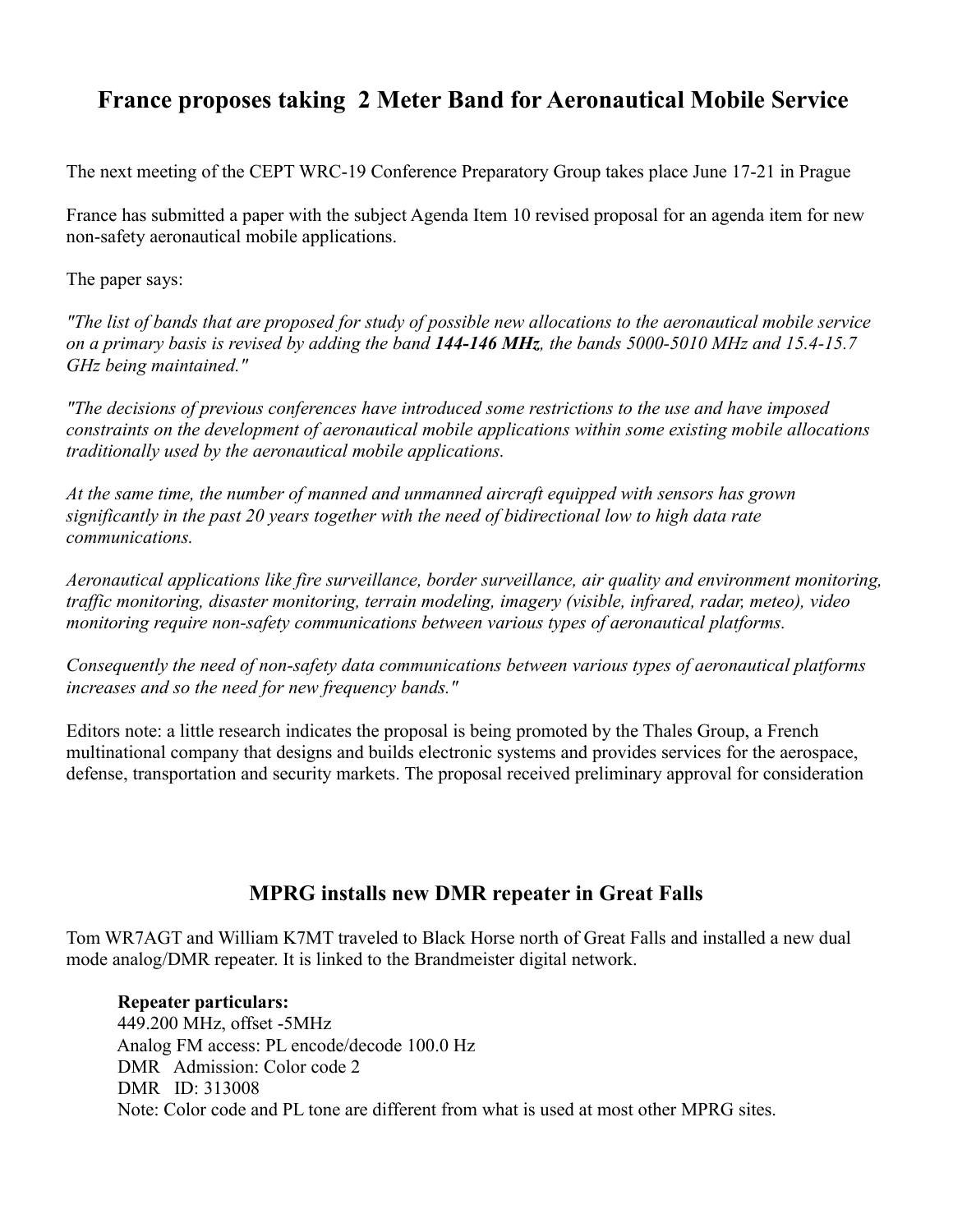## **France proposes taking 2 Meter Band for Aeronautical Mobile Service**

The next meeting of the CEPT WRC-19 Conference Preparatory Group takes place June 17-21 in Prague

France has submitted a paper with the subject Agenda Item 10 revised proposal for an agenda item for new non-safety aeronautical mobile applications.

The paper says:

*"The list of bands that are proposed for study of possible new allocations to the aeronautical mobile service on a primary basis is revised by adding the band 144-146 MHz, the bands 5000-5010 MHz and 15.4-15.7 GHz being maintained."*

*"The decisions of previous conferences have introduced some restrictions to the use and have imposed constraints on the development of aeronautical mobile applications within some existing mobile allocations traditionally used by the aeronautical mobile applications.* 

*At the same time, the number of manned and unmanned aircraft equipped with sensors has grown significantly in the past 20 years together with the need of bidirectional low to high data rate communications.*

*Aeronautical applications like fire surveillance, border surveillance, air quality and environment monitoring, traffic monitoring, disaster monitoring, terrain modeling, imagery (visible, infrared, radar, meteo), video monitoring require non-safety communications between various types of aeronautical platforms.* 

*Consequently the need of non-safety data communications between various types of aeronautical platforms increases and so the need for new frequency bands."*

Editors note: a little research indicates the proposal is being promoted by the Thales Group, a French multinational company that designs and builds electronic systems and provides services for the aerospace, defense, transportation and security markets. The proposal received preliminary approval for consideration

### **MPRG installs new DMR repeater in Great Falls**

Tom WR7AGT and William K7MT traveled to Black Horse north of Great Falls and installed a new dual mode analog/DMR repeater. It is linked to the Brandmeister digital network.

#### **Repeater particulars:** 449.200 MHz, offset -5MHz Analog FM access: PL encode/decode 100.0 Hz DMR Admission: Color code 2 DMR ID: [313008](https://brandmeister.network/?page=repeater&id=313008) Note: Color code and PL tone are different from what is used at most other MPRG sites.